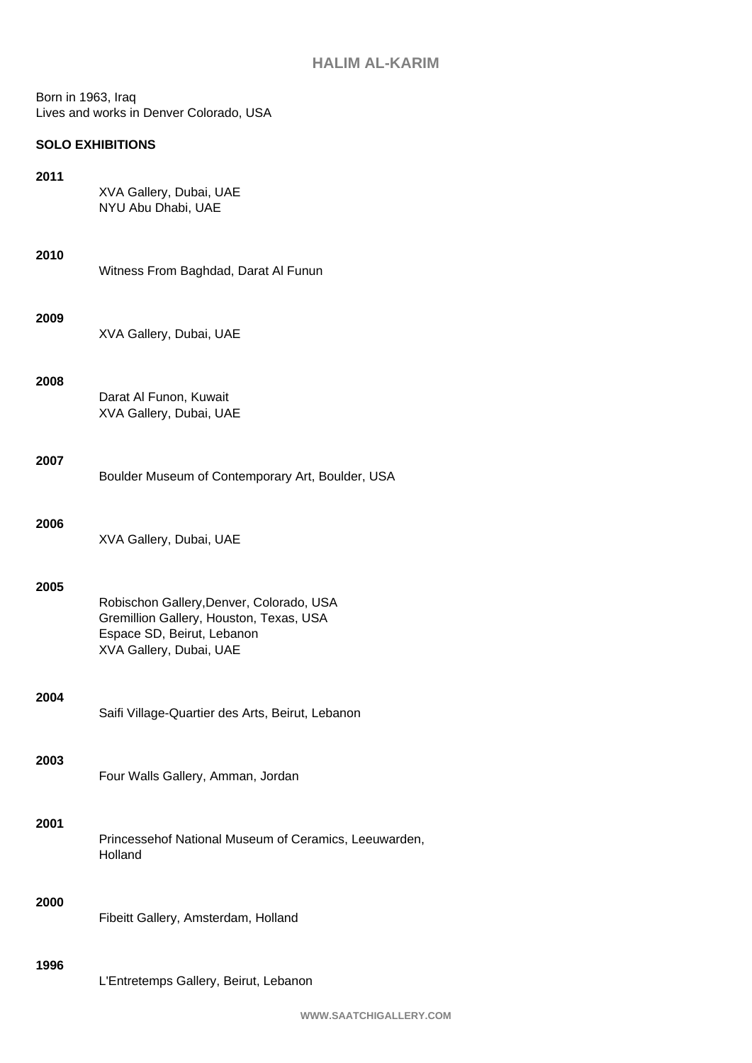Born in 1963, Iraq Lives and works in Denver Colorado, USA

## **SOLO EXHIBITIONS**

## **2011**

XVA Gallery, Dubai, UAE NYU Abu Dhabi, UAE

Witness From Baghdad, Darat Al Funun

#### **2009**

XVA Gallery, Dubai, UAE

### **2008**

Darat Al Funon, Kuwait XVA Gallery, Dubai, UAE

#### **2007**

| Boulder Museum of Contemporary Art, Boulder, USA |  |  |
|--------------------------------------------------|--|--|
|--------------------------------------------------|--|--|

## **2006**

## **2005**

| Robischon Gallery, Denver, Colorado, USA |
|------------------------------------------|
| Gremillion Gallery, Houston, Texas, USA  |
| Espace SD, Beirut, Lebanon               |
| XVA Gallery, Dubai, UAE                  |

#### **2004**

Saifi Village-Quartier des Arts, Beirut, Lebanon

#### **2003**

Four Walls Gallery, Amman, Jordan

## **2001**

Princessehof National Museum of Ceramics, Leeuwarden, Holland

### **2000**

Fibeitt Gallery, Amsterdam, Holland

#### **1996**

L'Entretemps Gallery, Beirut, Lebanon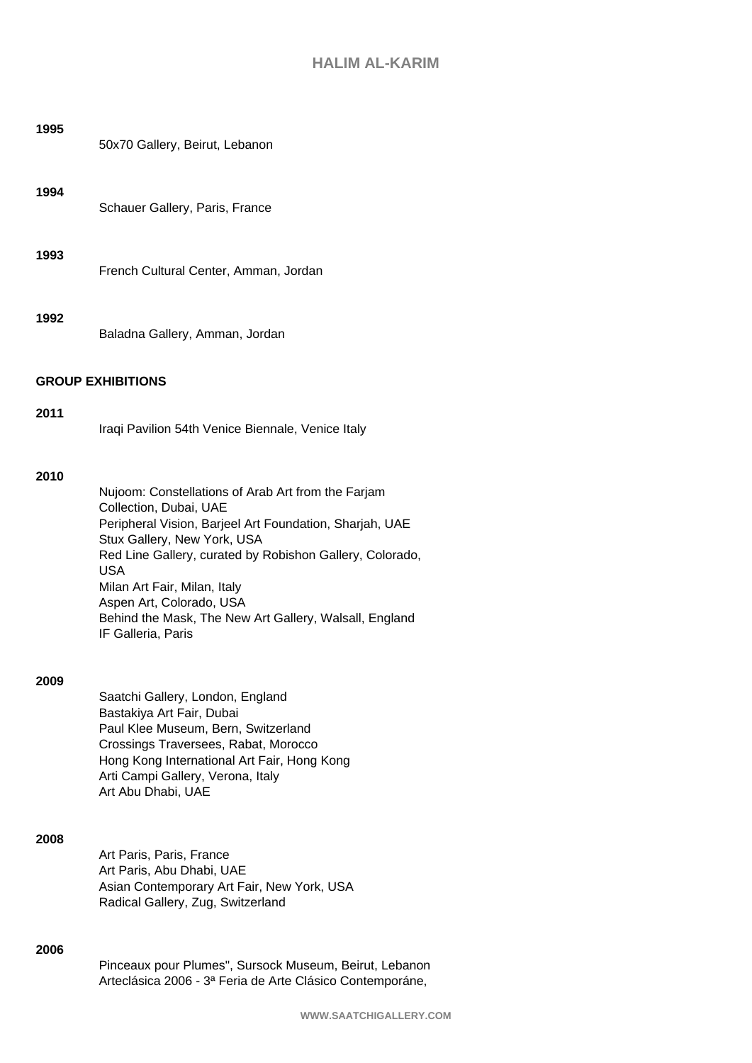# **HALIM AL-KARIM**

| 1995 | 50x70 Gallery, Beirut, Lebanon                                                                                                                                                                                                                                                                                                                                                               |
|------|----------------------------------------------------------------------------------------------------------------------------------------------------------------------------------------------------------------------------------------------------------------------------------------------------------------------------------------------------------------------------------------------|
| 1994 | Schauer Gallery, Paris, France                                                                                                                                                                                                                                                                                                                                                               |
| 1993 | French Cultural Center, Amman, Jordan                                                                                                                                                                                                                                                                                                                                                        |
| 1992 | Baladna Gallery, Amman, Jordan                                                                                                                                                                                                                                                                                                                                                               |
|      | <b>GROUP EXHIBITIONS</b>                                                                                                                                                                                                                                                                                                                                                                     |
| 2011 | Iraqi Pavilion 54th Venice Biennale, Venice Italy                                                                                                                                                                                                                                                                                                                                            |
| 2010 | Nujoom: Constellations of Arab Art from the Farjam<br>Collection, Dubai, UAE<br>Peripheral Vision, Barjeel Art Foundation, Sharjah, UAE<br>Stux Gallery, New York, USA<br>Red Line Gallery, curated by Robishon Gallery, Colorado,<br><b>USA</b><br>Milan Art Fair, Milan, Italy<br>Aspen Art, Colorado, USA<br>Behind the Mask, The New Art Gallery, Walsall, England<br>IF Galleria, Paris |
| 2009 | Saatchi Gallery, London, England<br>Bastakiya Art Fair, Dubai<br>Paul Klee Museum, Bern, Switzerland<br>Crossings Traversees, Rabat, Morocco<br>Hong Kong International Art Fair, Hong Kong<br>Arti Campi Gallery, Verona, Italy<br>Art Abu Dhabi, UAE                                                                                                                                       |
| 2008 | Art Paris, Paris, France<br>Art Paris, Abu Dhabi, UAE<br>Asian Contemporary Art Fair, New York, USA<br>Radical Gallery, Zug, Switzerland                                                                                                                                                                                                                                                     |

## **2006**

Pinceaux pour Plumes", Sursock Museum, Beirut, Lebanon Arteclásica 2006 - 3ª Feria de Arte Clásico Contemporáne,